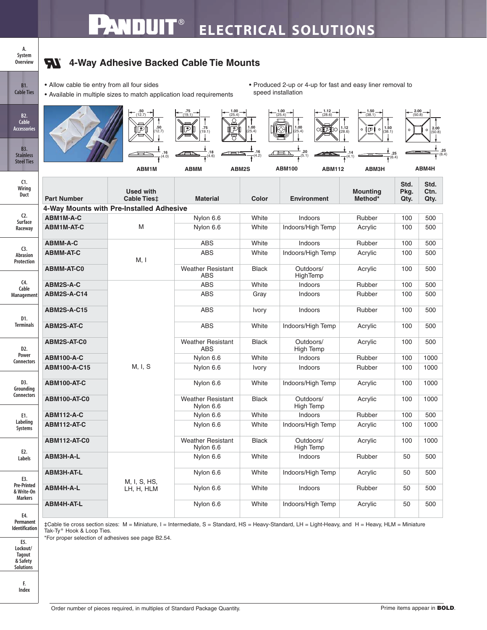## **A. System Overview**

**B1. Cable Ties**

## **Here** 4-Way Adhesive Backed Cable Tie Mounts

- Allow cable tie entry from all four sides
- Available in multiple sizes to match application load requirements
- Produced 2-up or 4-up for fast and easy liner removal to speed installation

| B <sub>2</sub> .<br>Cable<br><b>Accessories</b><br><b>B3.</b> |                     | $\frac{.50}{(12.7)}$<br>一<br>50(12.7)<br>⋔₽⋔ | $75$<br>(19.1)<br>$\frac{1.00}{(25.4)}$<br>$\circ$<br>$\frac{75}{19.1}$<br>թ<br>P | $1.00$<br>(25.4) | $\frac{1.00}{(25.4)}$<br>$\frac{1.12}{(28.6)}$<br>$1.00$<br>(25.4)<br>$\overline{\mathbb{G}}$<br>10.<br>ОΓ                                                                | $1.50$<br>(38.1)<br>$\begin{array}{c} 1.12 \\ (28.6) \end{array}$<br>1.50<br>$\mathbb{P}$<br>$\circ$ $\mathbb I$<br>$\circ$<br>(38.1) |                      | $\frac{2.00}{(50.8)}$<br>2.00<br>$\circ$<br>50.8<br>.25 |
|---------------------------------------------------------------|---------------------|----------------------------------------------|-----------------------------------------------------------------------------------|------------------|---------------------------------------------------------------------------------------------------------------------------------------------------------------------------|---------------------------------------------------------------------------------------------------------------------------------------|----------------------|---------------------------------------------------------|
| <b>Stainless</b><br><b>Steel Ties</b>                         |                     | .16<br>(4.0)<br>ABM1M                        | .18<br>(4.6)<br><b>ABMM</b>                                                       | .16<br>ABM2S     | <b>ABM112</b><br><b>ABM100</b>                                                                                                                                            | ABM3H                                                                                                                                 | (6.4)                | (6.4)<br>ABM4H                                          |
| C1.<br>Wiring<br>Duct                                         | <b>Part Number</b>  | <b>Used with</b><br><b>Cable Ties</b> #      | <b>Material</b>                                                                   | Color            | <b>Environment</b>                                                                                                                                                        | <b>Mounting</b><br>Method*                                                                                                            | Std.<br>Pkg.<br>Qty. | Std.<br>Ctn.<br>Qty.                                    |
|                                                               |                     | 4-Way Mounts with Pre-Installed Adhesive     |                                                                                   |                  |                                                                                                                                                                           |                                                                                                                                       |                      |                                                         |
| $C2$ .<br>Surface<br>Raceway                                  | ABM1M-A-C           |                                              | Nylon 6.6                                                                         | White            | Indoors                                                                                                                                                                   | Rubber                                                                                                                                | 100                  | 500                                                     |
|                                                               | <b>ABM1M-AT-C</b>   | M                                            | Nylon 6.6                                                                         | White            | Indoors/High Temp                                                                                                                                                         | Acrylic                                                                                                                               | 100                  | 500                                                     |
|                                                               | <b>ABMM-A-C</b>     |                                              | <b>ABS</b>                                                                        | White            | Indoors                                                                                                                                                                   | Rubber                                                                                                                                | 100                  | 500                                                     |
| C <sub>3</sub><br>Abrasion<br>Protection                      | <b>ABMM-AT-C</b>    | M, I                                         | <b>ABS</b><br>White                                                               |                  | Indoors/High Temp                                                                                                                                                         | Acrylic                                                                                                                               | 100                  | 500                                                     |
|                                                               | <b>ABMM-AT-C0</b>   |                                              | <b>Weather Resistant</b><br><b>ABS</b>                                            | <b>Black</b>     | Outdoors/<br>HighTemp                                                                                                                                                     | Acrylic                                                                                                                               | 100                  | 500                                                     |
| C <sub>4</sub><br>Cable<br>Management                         | ABM2S-A-C           |                                              | <b>ABS</b><br>White                                                               |                  | Indoors                                                                                                                                                                   | Rubber                                                                                                                                | 100                  | 500                                                     |
|                                                               | ABM2S-A-C14         |                                              | <b>ABS</b><br>Gray                                                                |                  | Indoors                                                                                                                                                                   | Rubber                                                                                                                                | 100                  | 500                                                     |
| D1.<br><b>Terminals</b>                                       | <b>ABM2S-A-C15</b>  |                                              | ABS                                                                               | Ivory            | Indoors                                                                                                                                                                   | Rubber                                                                                                                                | 100                  | 500                                                     |
|                                                               | <b>ABM2S-AT-C</b>   |                                              | <b>ABS</b>                                                                        | White            | Indoors/High Temp                                                                                                                                                         | Acrylic                                                                                                                               | 100                  | 500                                                     |
| D <sub>2</sub> .<br>Power<br><b>Connectors</b>                | ABM2S-AT-C0         |                                              | <b>Weather Resistant</b><br><b>ABS</b>                                            | <b>Black</b>     | Outdoors/<br>High Temp                                                                                                                                                    | Acrylic                                                                                                                               | 100                  | 500                                                     |
|                                                               | <b>ABM100-A-C</b>   |                                              | Nylon 6.6                                                                         | White            | Indoors                                                                                                                                                                   | Rubber                                                                                                                                | 100                  | 1000                                                    |
|                                                               | ABM100-A-C15        | M, I, S                                      | Nylon 6.6                                                                         | Ivory            | Indoors                                                                                                                                                                   | Rubber                                                                                                                                | 100                  | 1000                                                    |
| D3.<br>Grounding<br><b>Connectors</b>                         | ABM100-AT-C         |                                              | Nylon 6.6<br>White                                                                |                  | Indoors/High Temp                                                                                                                                                         | Acrylic                                                                                                                               | 100                  | 1000                                                    |
|                                                               | ABM100-AT-C0        |                                              | <b>Weather Resistant</b><br>Nylon 6.6                                             | <b>Black</b>     | Outdoors/<br>High Temp                                                                                                                                                    | Acrylic                                                                                                                               | 100                  | 1000                                                    |
| E1.<br>Labeling<br>Systems<br>E2.<br>Labels                   | <b>ABM112-A-C</b>   |                                              | Nylon 6.6                                                                         | White            | Indoors                                                                                                                                                                   | Rubber                                                                                                                                | 100                  | 500                                                     |
|                                                               | ABM112-AT-C         |                                              | Nylon 6.6<br>White                                                                |                  | Indoors/High Temp                                                                                                                                                         | Acrylic                                                                                                                               | 100                  | 1000                                                    |
|                                                               | <b>ABM112-AT-C0</b> |                                              | <b>Weather Resistant</b><br>Nylon 6.6                                             | <b>Black</b>     | Outdoors/<br><b>High Temp</b>                                                                                                                                             | Acrylic                                                                                                                               | 100                  | 1000                                                    |
|                                                               | ABM3H-A-L           |                                              | Nylon 6.6                                                                         | White            | Indoors                                                                                                                                                                   | Rubber                                                                                                                                | 50                   | 500                                                     |
| E3.<br><b>Pre-Printed</b><br>& Write-On                       | ABM3H-AT-L          | M, I, S, HS,<br>LH, H, HLM                   | Nylon 6.6                                                                         | White            | Indoors/High Temp                                                                                                                                                         | Acrylic                                                                                                                               | 50                   | 500                                                     |
|                                                               | ABM4H-A-L           |                                              | Nylon 6.6                                                                         | White            | Indoors                                                                                                                                                                   | Rubber                                                                                                                                | 50                   | 500                                                     |
| <b>Markers</b><br>E4.<br>Permanent                            | ABM4H-AT-L          |                                              | Nylon 6.6                                                                         | White            | Indoors/High Temp<br>‡Cable tie cross section sizes: M = Miniature, I = Intermediate, S = Standard, HS = Heavy-Standard, LH = Light-Heavy, and H = Heavy, HLM = Miniature | Acrylic                                                                                                                               | 50                   | 500                                                     |

**Permanent Identification**

**E5. Lockout/** Tak-Ty<sup>®</sup> Hook & Loop Ties.

\*For proper selection of adhesives see page B2.54.

**Tagout & Safety Solutions**